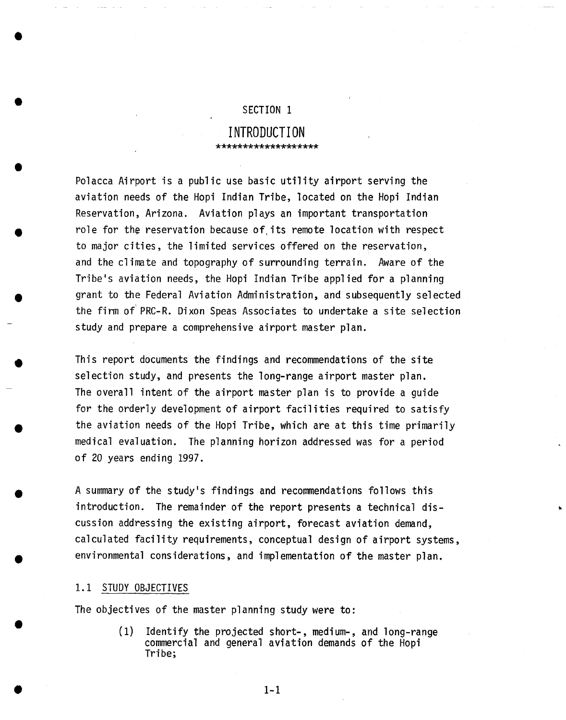## SECTION 1

## **INTRODUCTION**  \*\*\*\*\*\*\*\*\*\*\*\*\*\*\*\*\*\*\*

Polacca Airport is a public use basic utility airport serving the aviation needs of the Hopi Indian Tribe, located on the Hopi Indian Reservation, Arizona. Aviation plays an important transportation role for the reservation because of its remote location with respect to major cities, the limited services offered on the reservation, and the climate and topography of surrounding terrain. Aware of the Tribe's aviation needs, the Hopi Indian Tribe applied for a planning grant to the Federal Aviation Administration, and subsequently selected the firm of'PRC-R. Dixon Speas Associates to undertake a site selection study and prepare a comprehensive airport master plan.

This report documents the findings and recommendations of the site selection study, and presents the long-range airport master plan. The overall intent of the airport master plan is to provide a guide for the orderly development of airport facilities required to satisfy the aviation needs of the Hopi Tribe, which are at this time primarily medical evaluation. The planning horizon addressed was for a period of 20 years ending 1997.

A summary of the study's findings and recommendations follows this introduction. The remainder of the report presents a technical discussion addressing the existing airport, forecast aviation demand, calculated facility requirements, conceptual design of airport systems, environmental considerations, and implementation of the master plan.

## 1.1 STUDY OBJECTIVES

The objectives of the master planning study were to:

(1) Identify the projected short-, medium-, and long-range commercial and general aviation demands of the Hopi Tribe;

**0 I-I**